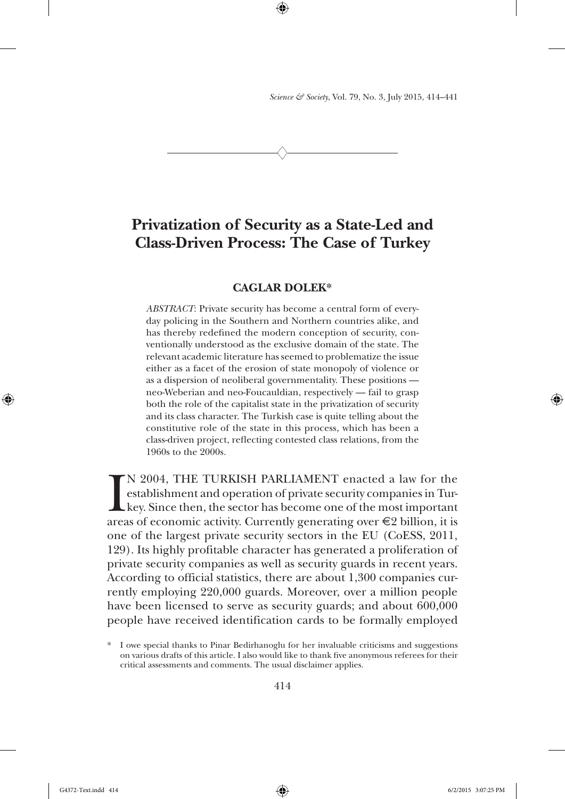# **Privatization of Security as a State-Led and Class-Driven Process: The Case of Turkey**

 $\heartsuit$ 

### **CAGLAR DOLEK\***

*ABSTRACT*: Private security has become a central form of everyday policing in the Southern and Northern countries alike, and has thereby redefined the modern conception of security, conventionally understood as the exclusive domain of the state. The relevant academic literature has seemed to problematize the issue either as a facet of the erosion of state monopoly of violence or as a dispersion of neoliberal governmentality. These positions neo-Weberian and neo-Foucauldian, respectively — fail to grasp both the role of the capitalist state in the privatization of security and its class character. The Turkish case is quite telling about the constitutive role of the state in this process, which has been a class-driven project, reflecting contested class relations, from the 1960s to the 2000s.

IN 2004, THE TURKISH PARLIAMENT enacted a law for the establishment and operation of private security companies in Turkey. Since then, the sector has become one of the most important areas of economic activity. Currently N 2004, THE TURKISH PARLIAMENT enacted a law for the establishment and operation of private security companies in Turkey. Since then, the sector has become one of the most important one of the largest private security sectors in the EU (CoESS, 2011, 129). Its highly profitable character has generated a proliferation of private security companies as well as security guards in recent years. According to official statistics, there are about 1,300 companies currently employing 220,000 guards. Moreover, over a million people have been licensed to serve as security guards; and about 600,000 people have received identification cards to be formally employed

<sup>\*</sup> I owe special thanks to Pinar Bedirhanoglu for her invaluable criticisms and suggestions on various drafts of this article. I also would like to thank five anonymous referees for their critical assessments and comments. The usual disclaimer applies.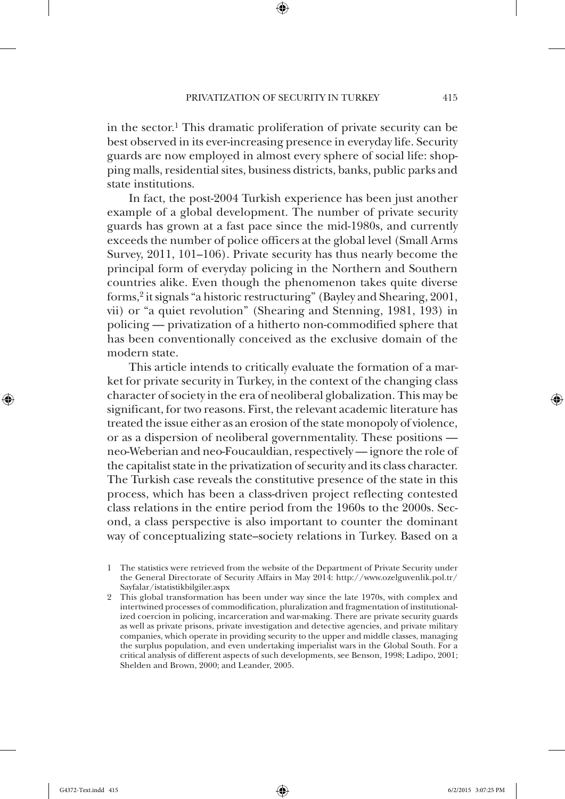in the sector.1 This dramatic proliferation of private security can be best observed in its ever-increasing presence in everyday life. Security guards are now employed in almost every sphere of social life: shopping malls, residential sites, business districts, banks, public parks and state institutions.

In fact, the post-2004 Turkish experience has been just another example of a global development. The number of private security guards has grown at a fast pace since the mid-1980s, and currently exceeds the number of police officers at the global level (Small Arms Survey, 2011, 101–106). Private security has thus nearly become the principal form of everyday policing in the Northern and Southern countries alike. Even though the phenomenon takes quite diverse forms,2 it signals "a historic restructuring" (Bayley and Shearing, 2001, vii) or "a quiet revolution" (Shearing and Stenning, 1981, 193) in policing — privatization of a hitherto non-commodified sphere that has been conventionally conceived as the exclusive domain of the modern state.

This article intends to critically evaluate the formation of a market for private security in Turkey, in the context of the changing class character of society in the era of neoliberal globalization. This may be significant, for two reasons. First, the relevant academic literature has treated the issue either as an erosion of the state monopoly of violence, or as a dispersion of neoliberal governmentality. These positions neo-Weberian and neo-Foucauldian, respectively — ignore the role of the capitalist state in the privatization of security and its class character. The Turkish case reveals the constitutive presence of the state in this process, which has been a class-driven project reflecting contested class relations in the entire period from the 1960s to the 2000s. Second, a class perspective is also important to counter the dominant way of conceptualizing state–society relations in Turkey. Based on a

1 The statistics were retrieved from the website of the Department of Private Security under the General Directorate of Security Affairs in May 2014: http://www.ozelguvenlik.pol.tr/ Sayfalar/istatistikbilgiler.aspx

2 This global transformation has been under way since the late 1970s, with complex and intertwined processes of commodification, pluralization and fragmentation of institutionalized coercion in policing, incarceration and war-making. There are private security guards as well as private prisons, private investigation and detective agencies, and private military companies, which operate in providing security to the upper and middle classes, managing the surplus population, and even undertaking imperialist wars in the Global South. For a critical analysis of different aspects of such developments, see Benson, 1998; Ladipo, 2001; Shelden and Brown, 2000; and Leander, 2005.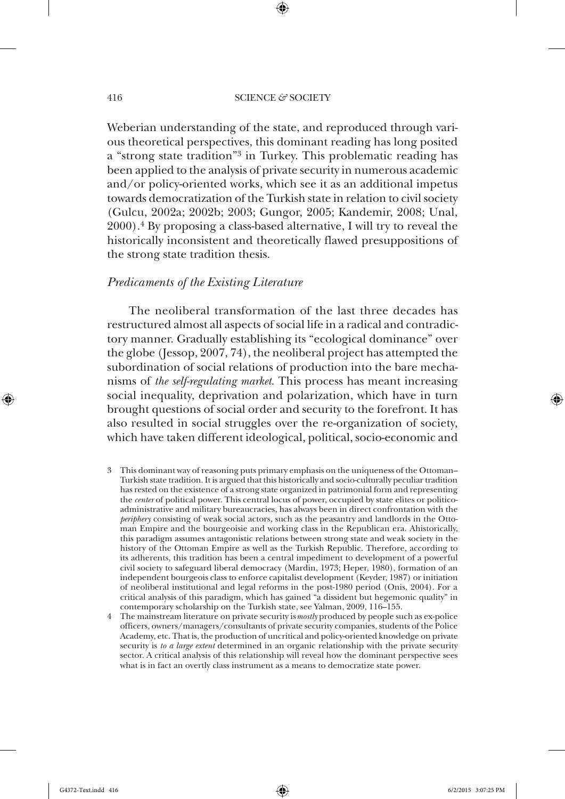Weberian understanding of the state, and reproduced through various theoretical perspectives, this dominant reading has long posited a "strong state tradition"3 in Turkey. This problematic reading has been applied to the analysis of private security in numerous academic and/or policy-oriented works, which see it as an additional impetus towards democratization of the Turkish state in relation to civil society (Gulcu, 2002a; 2002b; 2003; Gungor, 2005; Kandemir, 2008; Unal, 2000).4 By proposing a class-based alternative, I will try to reveal the historically inconsistent and theoretically flawed presuppositions of the strong state tradition thesis.

#### *Predicaments of the Existing Literature*

The neoliberal transformation of the last three decades has restructured almost all aspects of social life in a radical and contradictory manner. Gradually establishing its "ecological dominance" over the globe (Jessop, 2007, 74), the neoliberal project has attempted the subordination of social relations of production into the bare mechanisms of *the self-regulating market*. This process has meant increasing social inequality, deprivation and polarization, which have in turn brought questions of social order and security to the forefront. It has also resulted in social struggles over the re-organization of society, which have taken different ideological, political, socio-economic and

- 3 This dominant way of reasoning puts primary emphasis on the uniqueness of the Ottoman– Turkish state tradition. It is argued that this historically and socio-culturally peculiar tradition has rested on the existence of a strong state organized in patrimonial form and representing the *center* of political power. This central locus of power, occupied by state elites or politicoadministrative and military bureaucracies, has always been in direct confrontation with the *periphery* consisting of weak social actors, such as the peasantry and landlords in the Ottoman Empire and the bourgeoisie and working class in the Republican era. Ahistorically, this paradigm assumes antagonistic relations between strong state and weak society in the history of the Ottoman Empire as well as the Turkish Republic. Therefore, according to its adherents, this tradition has been a central impediment to development of a powerful civil society to safeguard liberal democracy (Mardin, 1973; Heper, 1980), formation of an independent bourgeois class to enforce capitalist development (Keyder, 1987) or initiation of neoliberal institutional and legal reforms in the post-1980 period (Onis, 2004). For a critical analysis of this paradigm, which has gained "a dissident but hegemonic quality" in contemporary scholarship on the Turkish state, see Yalman, 2009, 116–155.
- 4 The mainstream literature on private security is *mostly* produced by people such as ex-police officers, owners/managers/consultants of private security companies, students of the Police Academy, etc. That is, the production of uncritical and policy-oriented knowledge on private security is *to a large extent* determined in an organic relationship with the private security sector. A critical analysis of this relationship will reveal how the dominant perspective sees what is in fact an overtly class instrument as a means to democratize state power.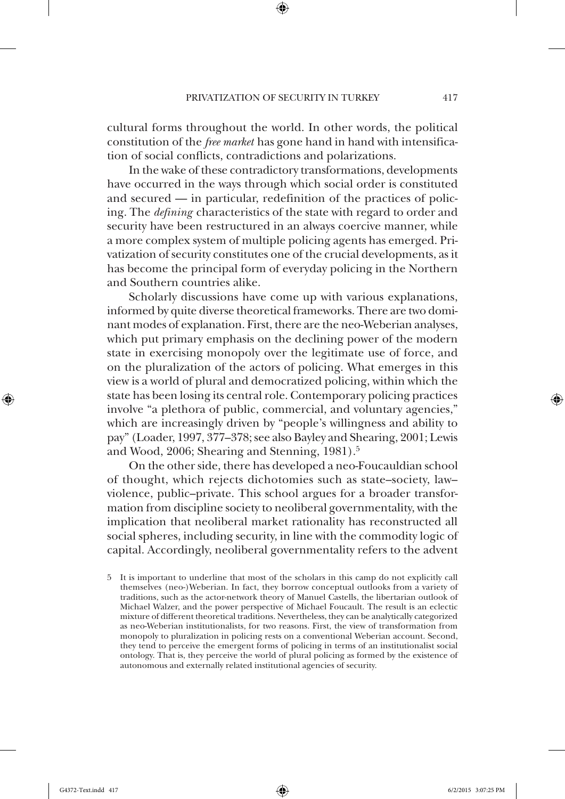cultural forms throughout the world. In other words, the political constitution of the *free market* has gone hand in hand with intensification of social conflicts, contradictions and polarizations.

In the wake of these contradictory transformations, developments have occurred in the ways through which social order is constituted and secured — in particular, redefinition of the practices of policing. The *defining* characteristics of the state with regard to order and security have been restructured in an always coercive manner, while a more complex system of multiple policing agents has emerged. Privatization of security constitutes one of the crucial developments, as it has become the principal form of everyday policing in the Northern and Southern countries alike.

Scholarly discussions have come up with various explanations, informed by quite diverse theoretical frameworks. There are two dominant modes of explanation. First, there are the neo-Weberian analyses, which put primary emphasis on the declining power of the modern state in exercising monopoly over the legitimate use of force, and on the pluralization of the actors of policing. What emerges in this view is a world of plural and democratized policing, within which the state has been losing its central role. Contemporary policing practices involve "a plethora of public, commercial, and voluntary agencies," which are increasingly driven by "people's willingness and ability to pay" (Loader, 1997, 377–378; see also Bayley and Shearing, 2001; Lewis and Wood, 2006; Shearing and Stenning, 1981).5

On the other side, there has developed a neo-Foucauldian school of thought, which rejects dichotomies such as state–society, law– violence, public–private. This school argues for a broader transformation from discipline society to neoliberal governmentality, with the implication that neoliberal market rationality has reconstructed all social spheres, including security, in line with the commodity logic of capital. Accordingly, neoliberal governmentality refers to the advent

<sup>5</sup> It is important to underline that most of the scholars in this camp do not explicitly call themselves (neo-)Weberian. In fact, they borrow conceptual outlooks from a variety of traditions, such as the actor-network theory of Manuel Castells, the libertarian outlook of Michael Walzer, and the power perspective of Michael Foucault. The result is an eclectic mixture of different theoretical traditions. Nevertheless, they can be analytically categorized as neo-Weberian institutionalists, for two reasons. First, the view of transformation from monopoly to pluralization in policing rests on a conventional Weberian account. Second, they tend to perceive the emergent forms of policing in terms of an institutionalist social ontology. That is, they perceive the world of plural policing as formed by the existence of autonomous and externally related institutional agencies of security.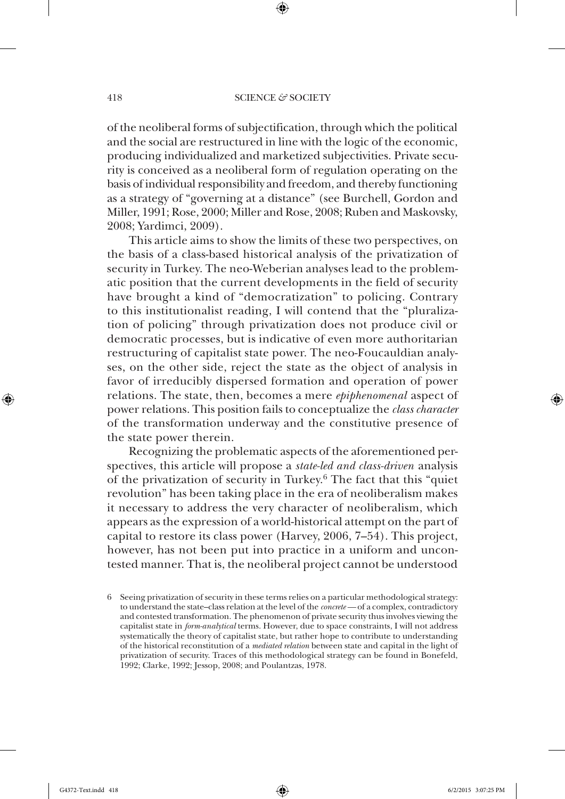of the neoliberal forms of subjectification, through which the political and the social are restructured in line with the logic of the economic, producing individualized and marketized subjectivities. Private security is conceived as a neoliberal form of regulation operating on the basis of individual responsibility and freedom, and thereby functioning as a strategy of "governing at a distance" (see Burchell, Gordon and Miller, 1991; Rose, 2000; Miller and Rose, 2008; Ruben and Maskovsky, 2008; Yardimci, 2009).

This article aims to show the limits of these two perspectives, on the basis of a class-based historical analysis of the privatization of security in Turkey. The neo-Weberian analyses lead to the problematic position that the current developments in the field of security have brought a kind of "democratization" to policing. Contrary to this institutionalist reading, I will contend that the "pluralization of policing" through privatization does not produce civil or democratic processes, but is indicative of even more authoritarian restructuring of capitalist state power. The neo-Foucauldian analyses, on the other side, reject the state as the object of analysis in favor of irreducibly dispersed formation and operation of power relations. The state, then, becomes a mere *epiphenomenal* aspect of power relations. This position fails to conceptualize the *class character* of the transformation underway and the constitutive presence of the state power therein.

Recognizing the problematic aspects of the aforementioned perspectives, this article will propose a *state-led and class-driven* analysis of the privatization of security in Turkey.6 The fact that this "quiet revolution" has been taking place in the era of neoliberalism makes it necessary to address the very character of neoliberalism, which appears as the expression of a world-historical attempt on the part of capital to restore its class power (Harvey, 2006, 7–54). This project, however, has not been put into practice in a uniform and uncontested manner. That is, the neoliberal project cannot be understood

<sup>6</sup> Seeing privatization of security in these terms relies on a particular methodological strategy: to understand the state–class relation at the level of the *concrete —* of a complex, contradictory and contested transformation. The phenomenon of private security thus involves viewing the capitalist state in *form-analytical* terms. However, due to space constraints, I will not address systematically the theory of capitalist state, but rather hope to contribute to understanding of the historical reconstitution of a *mediated relation* between state and capital in the light of privatization of security. Traces of this methodological strategy can be found in Bonefeld, 1992; Clarke, 1992; Jessop, 2008; and Poulantzas, 1978.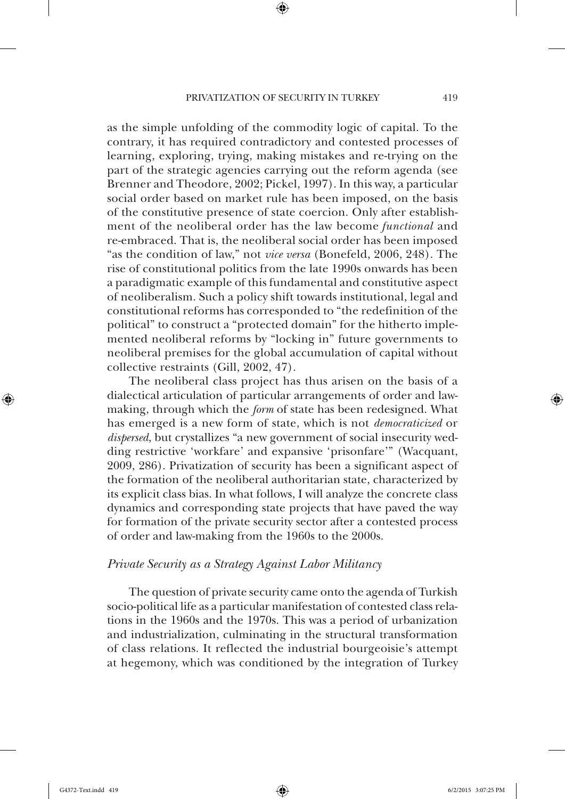as the simple unfolding of the commodity logic of capital. To the contrary, it has required contradictory and contested processes of learning, exploring, trying, making mistakes and re-trying on the part of the strategic agencies carrying out the reform agenda (see Brenner and Theodore, 2002; Pickel, 1997). In this way, a particular social order based on market rule has been imposed, on the basis of the constitutive presence of state coercion. Only after establishment of the neoliberal order has the law become *functional* and re-embraced. That is, the neoliberal social order has been imposed "as the condition of law," not *vice versa* (Bonefeld, 2006, 248). The rise of constitutional politics from the late 1990s onwards has been a paradigmatic example of this fundamental and constitutive aspect of neoliberalism. Such a policy shift towards institutional, legal and constitutional reforms has corresponded to "the redefinition of the political" to construct a "protected domain" for the hitherto implemented neoliberal reforms by "locking in" future governments to neoliberal premises for the global accumulation of capital without collective restraints (Gill, 2002, 47).

The neoliberal class project has thus arisen on the basis of a dialectical articulation of particular arrangements of order and lawmaking, through which the *form* of state has been redesigned. What has emerged is a new form of state, which is not *democraticized* or *dispersed*, but crystallizes "a new government of social insecurity wedding restrictive 'workfare' and expansive 'prisonfare'" (Wacquant, 2009, 286). Privatization of security has been a significant aspect of the formation of the neoliberal authoritarian state, characterized by its explicit class bias. In what follows, I will analyze the concrete class dynamics and corresponding state projects that have paved the way for formation of the private security sector after a contested process of order and law-making from the 1960s to the 2000s.

# *Private Security as a Strategy Against Labor Militancy*

The question of private security came onto the agenda of Turkish socio-political life as a particular manifestation of contested class relations in the 1960s and the 1970s. This was a period of urbanization and industrialization, culminating in the structural transformation of class relations. It reflected the industrial bourgeoisie's attempt at hegemony, which was conditioned by the integration of Turkey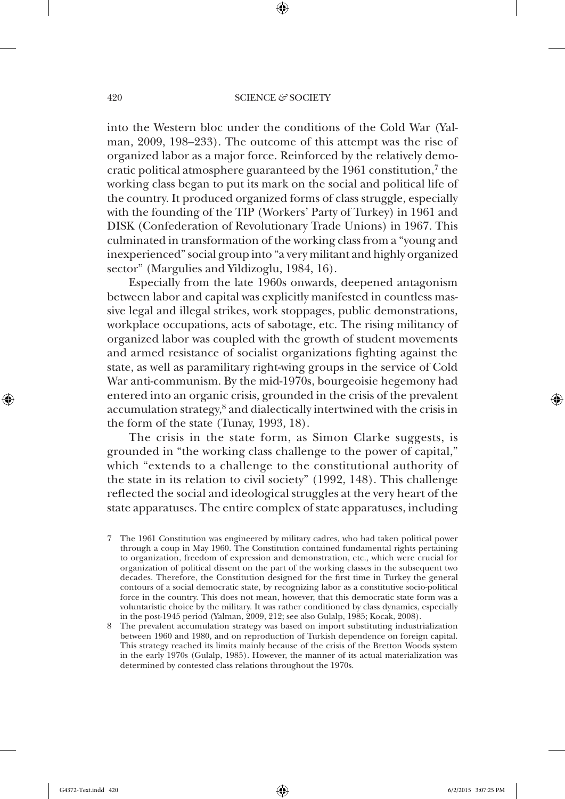into the Western bloc under the conditions of the Cold War (Yalman, 2009, 198–233). The outcome of this attempt was the rise of organized labor as a major force. Reinforced by the relatively democratic political atmosphere guaranteed by the 1961 constitution, $7$  the working class began to put its mark on the social and political life of the country. It produced organized forms of class struggle, especially with the founding of the TIP (Workers' Party of Turkey) in 1961 and DISK (Confederation of Revolutionary Trade Unions) in 1967. This culminated in transformation of the working class from a "young and inexperienced" social group into "a very militant and highly organized sector" (Margulies and Yildizoglu, 1984, 16).

Especially from the late 1960s onwards, deepened antagonism between labor and capital was explicitly manifested in countless massive legal and illegal strikes, work stoppages, public demonstrations, workplace occupations, acts of sabotage, etc. The rising militancy of organized labor was coupled with the growth of student movements and armed resistance of socialist organizations fighting against the state, as well as paramilitary right-wing groups in the service of Cold War anti-communism. By the mid-1970s, bourgeoisie hegemony had entered into an organic crisis, grounded in the crisis of the prevalent accumulation strategy,8 and dialectically intertwined with the crisis in the form of the state (Tunay, 1993, 18).

The crisis in the state form, as Simon Clarke suggests, is grounded in "the working class challenge to the power of capital," which "extends to a challenge to the constitutional authority of the state in its relation to civil society" (1992, 148). This challenge reflected the social and ideological struggles at the very heart of the state apparatuses. The entire complex of state apparatuses, including

- 7 The 1961 Constitution was engineered by military cadres, who had taken political power through a coup in May 1960. The Constitution contained fundamental rights pertaining to organization, freedom of expression and demonstration, etc., which were crucial for organization of political dissent on the part of the working classes in the subsequent two decades. Therefore, the Constitution designed for the first time in Turkey the general contours of a social democratic state, by recognizing labor as a constitutive socio-political force in the country. This does not mean, however, that this democratic state form was a voluntaristic choice by the military. It was rather conditioned by class dynamics, especially in the post-1945 period (Yalman, 2009, 212; see also Gulalp, 1985; Kocak, 2008).
- 8 The prevalent accumulation strategy was based on import substituting industrialization between 1960 and 1980, and on reproduction of Turkish dependence on foreign capital. This strategy reached its limits mainly because of the crisis of the Bretton Woods system in the early 1970s (Gulalp, 1985). However, the manner of its actual materialization was determined by contested class relations throughout the 1970s.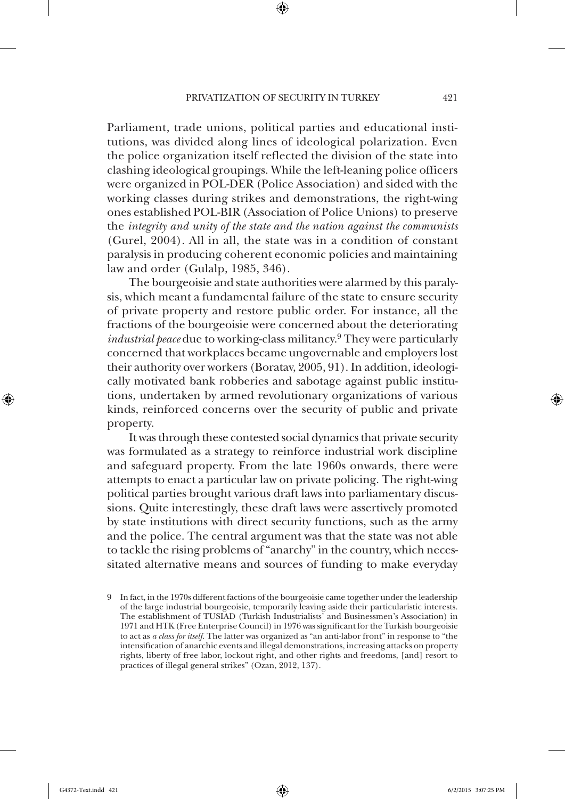Parliament, trade unions, political parties and educational institutions, was divided along lines of ideological polarization. Even the police organization itself reflected the division of the state into clashing ideological groupings. While the left-leaning police officers were organized in POL-DER (Police Association) and sided with the working classes during strikes and demonstrations, the right-wing ones established POL-BIR (Association of Police Unions) to preserve the *integrity and unity of the state and the nation against the communists* (Gurel, 2004). All in all, the state was in a condition of constant paralysis in producing coherent economic policies and maintaining law and order (Gulalp, 1985, 346).

The bourgeoisie and state authorities were alarmed by this paralysis, which meant a fundamental failure of the state to ensure security of private property and restore public order. For instance, all the fractions of the bourgeoisie were concerned about the deteriorating *industrial peace* due to working-class militancy.<sup>9</sup> They were particularly concerned that workplaces became ungovernable and employers lost their authority over workers (Boratav, 2005, 91). In addition, ideologically motivated bank robberies and sabotage against public institutions, undertaken by armed revolutionary organizations of various kinds, reinforced concerns over the security of public and private property.

It was through these contested social dynamics that private security was formulated as a strategy to reinforce industrial work discipline and safeguard property. From the late 1960s onwards, there were attempts to enact a particular law on private policing. The right-wing political parties brought various draft laws into parliamentary discussions. Quite interestingly, these draft laws were assertively promoted by state institutions with direct security functions, such as the army and the police. The central argument was that the state was not able to tackle the rising problems of "anarchy" in the country, which necessitated alternative means and sources of funding to make everyday

<sup>9</sup> In fact, in the 1970s different factions of the bourgeoisie came together under the leadership of the large industrial bourgeoisie, temporarily leaving aside their particularistic interests. The establishment of TUSIAD (Turkish Industrialists' and Businessmen's Association) in 1971 and HTK (Free Enterprise Council) in 1976 was significant for the Turkish bourgeoisie to act as *a class for itself.* The latter was organized as "an anti-labor front" in response to "the intensification of anarchic events and illegal demonstrations, increasing attacks on property rights, liberty of free labor, lockout right, and other rights and freedoms, [and] resort to practices of illegal general strikes" (Ozan, 2012, 137).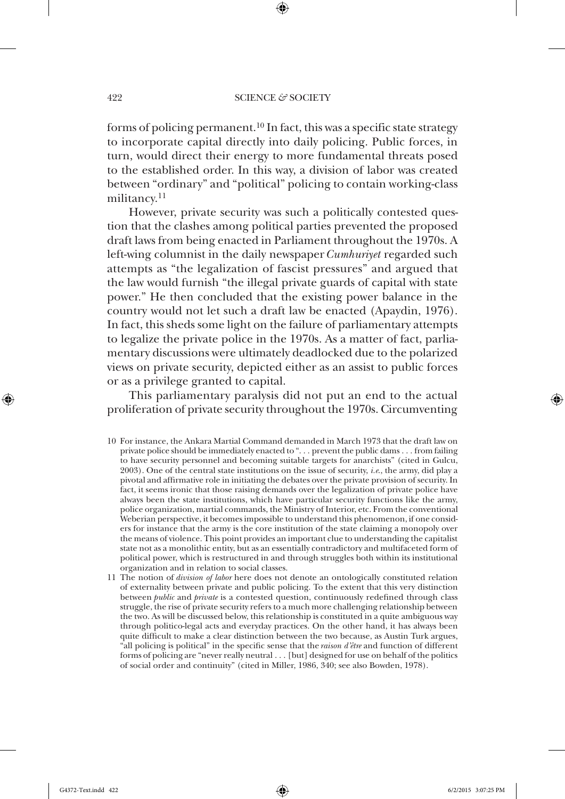forms of policing permanent.<sup>10</sup> In fact, this was a specific state strategy to incorporate capital directly into daily policing. Public forces, in turn, would direct their energy to more fundamental threats posed to the established order. In this way, a division of labor was created between "ordinary" and "political" policing to contain working-class militancy.11

However, private security was such a politically contested question that the clashes among political parties prevented the proposed draft laws from being enacted in Parliament throughout the 1970s. A left-wing columnist in the daily newspaper *Cumhuriyet* regarded such attempts as "the legalization of fascist pressures" and argued that the law would furnish "the illegal private guards of capital with state power." He then concluded that the existing power balance in the country would not let such a draft law be enacted (Apaydin, 1976). In fact, this sheds some light on the failure of parliamentary attempts to legalize the private police in the 1970s. As a matter of fact, parliamentary discussions were ultimately deadlocked due to the polarized views on private security, depicted either as an assist to public forces or as a privilege granted to capital.

This parliamentary paralysis did not put an end to the actual proliferation of private security throughout the 1970s. Circumventing

<sup>10</sup> For instance, the Ankara Martial Command demanded in March 1973 that the draft law on private police should be immediately enacted to ". . . prevent the public dams . . . from failing to have security personnel and becoming suitable targets for anarchists" (cited in Gulcu, 2003). One of the central state institutions on the issue of security, *i.e*., the army, did play a pivotal and affirmative role in initiating the debates over the private provision of security. In fact, it seems ironic that those raising demands over the legalization of private police have always been the state institutions, which have particular security functions like the army, police organization, martial commands, the Ministry of Interior, etc. From the conventional Weberian perspective, it becomes impossible to understand this phenomenon, if one considers for instance that the army is the core institution of the state claiming a monopoly over the means of violence. This point provides an important clue to understanding the capitalist state not as a monolithic entity, but as an essentially contradictory and multifaceted form of political power, which is restructured in and through struggles both within its institutional organization and in relation to social classes.

<sup>11</sup> The notion of *division of labor* here does not denote an ontologically constituted relation of externality between private and public policing. To the extent that this very distinction between *public* and *private* is a contested question, continuously redefined through class struggle, the rise of private security refers to a much more challenging relationship between the two. As will be discussed below, this relationship is constituted in a quite ambiguous way through politico-legal acts and everyday practices. On the other hand, it has always been quite difficult to make a clear distinction between the two because, as Austin Turk argues, "all policing is political" in the specific sense that the *raison d'être* and function of different forms of policing are "never really neutral . . . [but] designed for use on behalf of the politics of social order and continuity" (cited in Miller, 1986, 340; see also Bowden, 1978).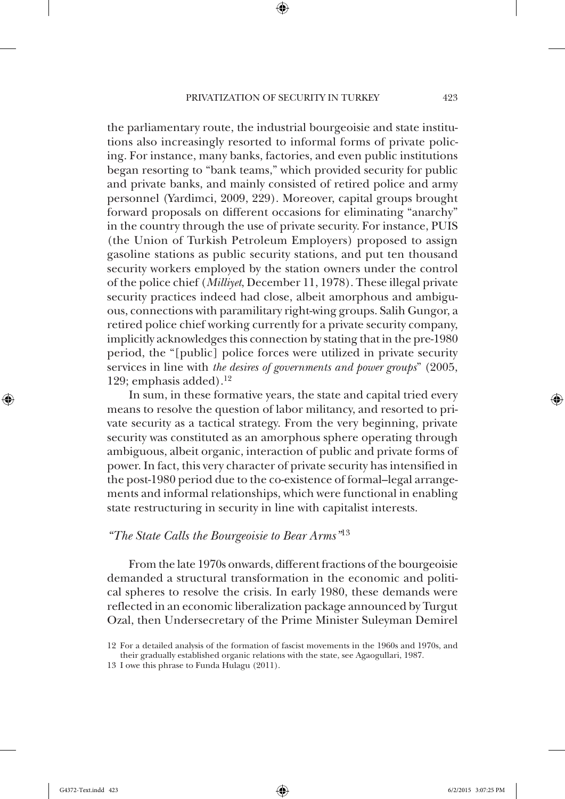the parliamentary route, the industrial bourgeoisie and state institutions also increasingly resorted to informal forms of private policing. For instance, many banks, factories, and even public institutions began resorting to "bank teams," which provided security for public and private banks, and mainly consisted of retired police and army personnel (Yardimci, 2009, 229). Moreover, capital groups brought forward proposals on different occasions for eliminating "anarchy" in the country through the use of private security. For instance, PUIS (the Union of Turkish Petroleum Employers) proposed to assign gasoline stations as public security stations, and put ten thousand security workers employed by the station owners under the control of the police chief (*Milliyet*, December 11, 1978). These illegal private security practices indeed had close, albeit amorphous and ambiguous, connections with paramilitary right-wing groups. Salih Gungor, a retired police chief working currently for a private security company, implicitly acknowledges this connection by stating that in the pre-1980 period, the "[public] police forces were utilized in private security services in line with *the desires of governments and power groups*" (2005, 129; emphasis added). $12$ 

In sum, in these formative years, the state and capital tried every means to resolve the question of labor militancy, and resorted to private security as a tactical strategy. From the very beginning, private security was constituted as an amorphous sphere operating through ambiguous, albeit organic, interaction of public and private forms of power. In fact, this very character of private security has intensified in the post-1980 period due to the co-existence of formal–legal arrangements and informal relationships, which were functional in enabling state restructuring in security in line with capitalist interests.

#### *"The State Calls the Bourgeoisie to Bear Arms"*<sup>13</sup>

From the late 1970s onwards, different fractions of the bourgeoisie demanded a structural transformation in the economic and political spheres to resolve the crisis. In early 1980, these demands were reflected in an economic liberalization package announced by Turgut Ozal, then Undersecretary of the Prime Minister Suleyman Demirel

<sup>12</sup> For a detailed analysis of the formation of fascist movements in the 1960s and 1970s, and their gradually established organic relations with the state, see Agaogullari, 1987.

<sup>13</sup> I owe this phrase to Funda Hulagu (2011).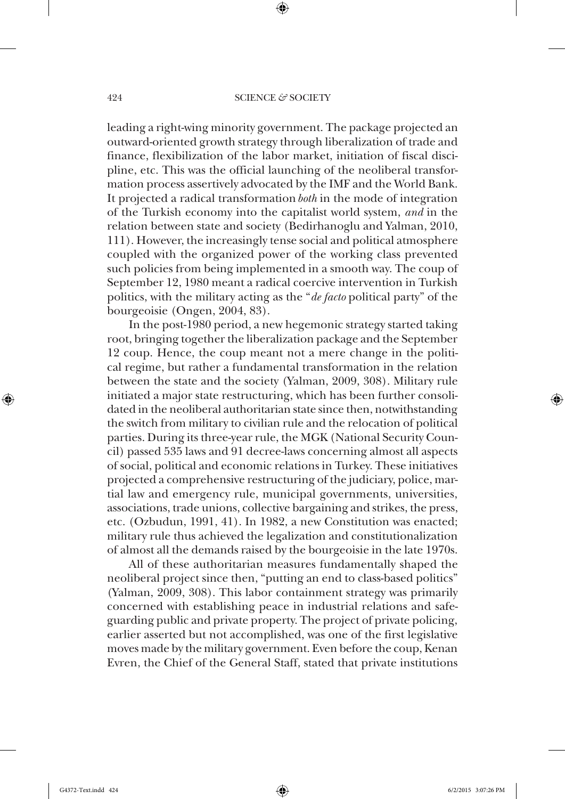leading a right-wing minority government. The package projected an outward-oriented growth strategy through liberalization of trade and finance, flexibilization of the labor market, initiation of fiscal discipline, etc. This was the official launching of the neoliberal transformation process assertively advocated by the IMF and the World Bank. It projected a radical transformation *both* in the mode of integration of the Turkish economy into the capitalist world system, *and* in the relation between state and society (Bedirhanoglu and Yalman, 2010, 111). However, the increasingly tense social and political atmosphere coupled with the organized power of the working class prevented such policies from being implemented in a smooth way. The coup of September 12, 1980 meant a radical coercive intervention in Turkish politics, with the military acting as the "*de facto* political party" of the bourgeoisie (Ongen, 2004, 83).

In the post-1980 period, a new hegemonic strategy started taking root, bringing together the liberalization package and the September 12 coup. Hence, the coup meant not a mere change in the political regime, but rather a fundamental transformation in the relation between the state and the society (Yalman, 2009, 308). Military rule initiated a major state restructuring, which has been further consolidated in the neoliberal authoritarian state since then, notwithstanding the switch from military to civilian rule and the relocation of political parties. During its three-year rule, the MGK (National Security Council) passed 535 laws and 91 decree-laws concerning almost all aspects of social, political and economic relations in Turkey. These initiatives projected a comprehensive restructuring of the judiciary, police, martial law and emergency rule, municipal governments, universities, associations, trade unions, collective bargaining and strikes, the press, etc. (Ozbudun, 1991, 41). In 1982, a new Constitution was enacted; military rule thus achieved the legalization and constitutionalization of almost all the demands raised by the bourgeoisie in the late 1970s.

All of these authoritarian measures fundamentally shaped the neoliberal project since then, "putting an end to class-based politics" (Yalman, 2009, 308). This labor containment strategy was primarily concerned with establishing peace in industrial relations and safeguarding public and private property. The project of private policing, earlier asserted but not accomplished, was one of the first legislative moves made by the military government. Even before the coup, Kenan Evren, the Chief of the General Staff, stated that private institutions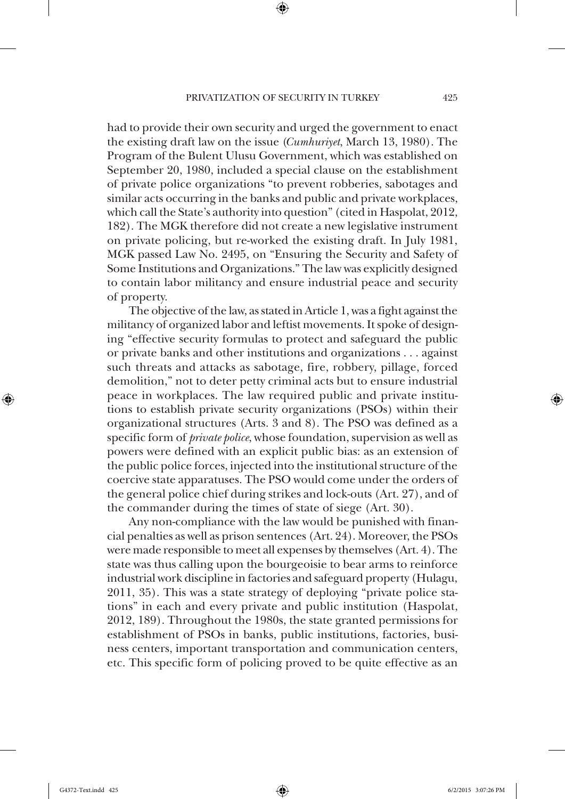had to provide their own security and urged the government to enact the existing draft law on the issue (*Cumhuriyet*, March 13, 1980). The Program of the Bulent Ulusu Government, which was established on September 20, 1980, included a special clause on the establishment of private police organizations "to prevent robberies, sabotages and similar acts occurring in the banks and public and private workplaces, which call the State's authority into question" (cited in Haspolat, 2012, 182). The MGK therefore did not create a new legislative instrument on private policing, but re-worked the existing draft. In July 1981, MGK passed Law No. 2495, on "Ensuring the Security and Safety of Some Institutions and Organizations." The law was explicitly designed to contain labor militancy and ensure industrial peace and security of property.

The objective of the law, as stated in Article 1, was a fight against the militancy of organized labor and leftist movements. It spoke of designing "effective security formulas to protect and safeguard the public or private banks and other institutions and organizations . . . against such threats and attacks as sabotage, fire, robbery, pillage, forced demolition," not to deter petty criminal acts but to ensure industrial peace in workplaces. The law required public and private institutions to establish private security organizations (PSOs) within their organizational structures (Arts. 3 and 8). The PSO was defined as a specific form of *private police*, whose foundation, supervision as well as powers were defined with an explicit public bias: as an extension of the public police forces, injected into the institutional structure of the coercive state apparatuses. The PSO would come under the orders of the general police chief during strikes and lock-outs (Art. 27), and of the commander during the times of state of siege (Art. 30).

Any non-compliance with the law would be punished with financial penalties as well as prison sentences (Art. 24). Moreover, the PSOs were made responsible to meet all expenses by themselves (Art. 4). The state was thus calling upon the bourgeoisie to bear arms to reinforce industrial work discipline in factories and safeguard property (Hulagu, 2011, 35). This was a state strategy of deploying "private police stations" in each and every private and public institution (Haspolat, 2012, 189). Throughout the 1980s, the state granted permissions for establishment of PSOs in banks, public institutions, factories, business centers, important transportation and communication centers, etc. This specific form of policing proved to be quite effective as an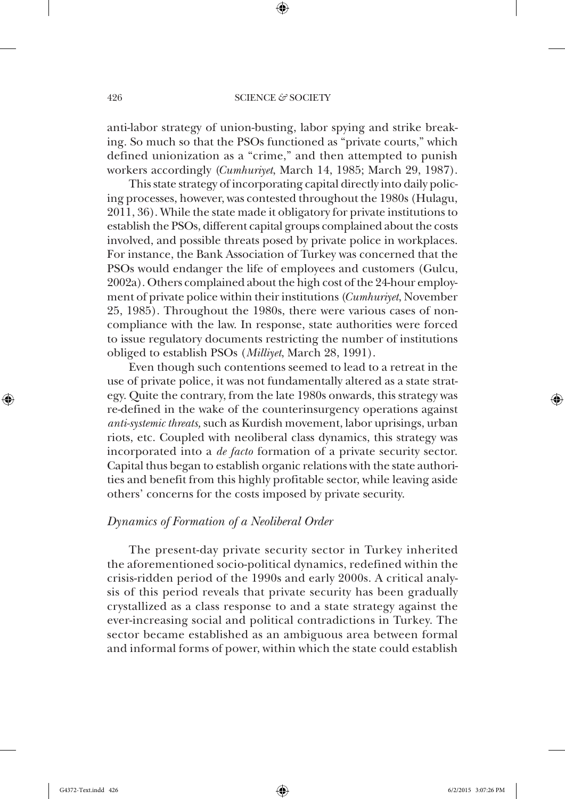anti-labor strategy of union-busting, labor spying and strike breaking. So much so that the PSOs functioned as "private courts," which defined unionization as a "crime," and then attempted to punish workers accordingly (*Cumhuriyet*, March 14, 1985; March 29, 1987).

This state strategy of incorporating capital directly into daily policing processes, however, was contested throughout the 1980s (Hulagu, 2011, 36). While the state made it obligatory for private institutions to establish the PSOs, different capital groups complained about the costs involved, and possible threats posed by private police in workplaces. For instance, the Bank Association of Turkey was concerned that the PSOs would endanger the life of employees and customers (Gulcu, 2002a). Others complained about the high cost of the 24-hour employment of private police within their institutions (*Cumhuriyet*, November 25, 1985). Throughout the 1980s, there were various cases of noncompliance with the law. In response, state authorities were forced to issue regulatory documents restricting the number of institutions obliged to establish PSOs (*Milliyet*, March 28, 1991).

Even though such contentions seemed to lead to a retreat in the use of private police, it was not fundamentally altered as a state strategy. Quite the contrary, from the late 1980s onwards, this strategy was re-defined in the wake of the counterinsurgency operations against *anti-systemic threats,* such as Kurdish movement, labor uprisings, urban riots, etc. Coupled with neoliberal class dynamics, this strategy was incorporated into a *de facto* formation of a private security sector. Capital thus began to establish organic relations with the state authorities and benefit from this highly profitable sector, while leaving aside others' concerns for the costs imposed by private security.

#### *Dynamics of Formation of a Neoliberal Order*

The present-day private security sector in Turkey inherited the aforementioned socio-political dynamics, redefined within the crisis-ridden period of the 1990s and early 2000s. A critical analysis of this period reveals that private security has been gradually crystallized as a class response to and a state strategy against the ever-increasing social and political contradictions in Turkey. The sector became established as an ambiguous area between formal and informal forms of power, within which the state could establish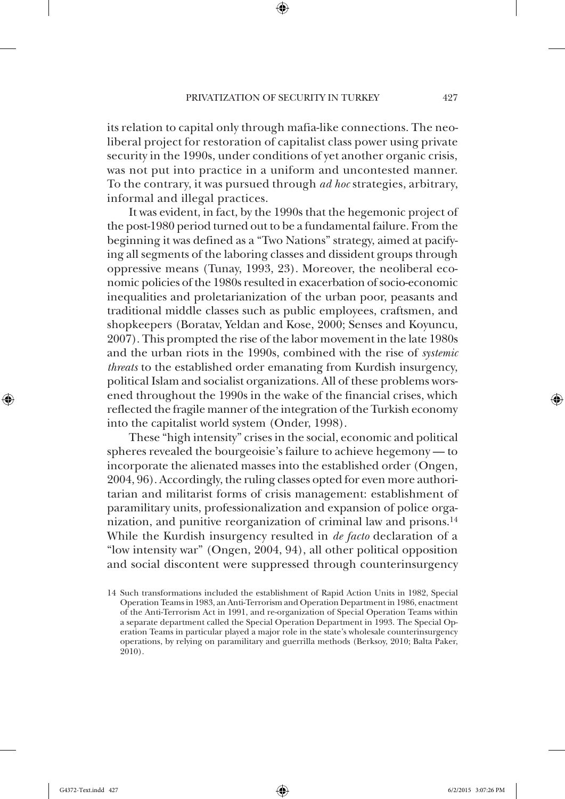its relation to capital only through mafia-like connections. The neoliberal project for restoration of capitalist class power using private security in the 1990s, under conditions of yet another organic crisis, was not put into practice in a uniform and uncontested manner. To the contrary, it was pursued through *ad hoc* strategies, arbitrary, informal and illegal practices.

It was evident, in fact, by the 1990s that the hegemonic project of the post-1980 period turned out to be a fundamental failure. From the beginning it was defined as a "Two Nations" strategy, aimed at pacifying all segments of the laboring classes and dissident groups through oppressive means (Tunay, 1993, 23). Moreover, the neoliberal economic policies of the 1980s resulted in exacerbation of socio-economic inequalities and proletarianization of the urban poor, peasants and traditional middle classes such as public employees, craftsmen, and shopkeepers (Boratav, Yeldan and Kose, 2000; Senses and Koyuncu, 2007). This prompted the rise of the labor movement in the late 1980s and the urban riots in the 1990s, combined with the rise of *systemic threats* to the established order emanating from Kurdish insurgency, political Islam and socialist organizations. All of these problems worsened throughout the 1990s in the wake of the financial crises, which reflected the fragile manner of the integration of the Turkish economy into the capitalist world system (Onder, 1998).

These "high intensity" crises in the social, economic and political spheres revealed the bourgeoisie's failure to achieve hegemony — to incorporate the alienated masses into the established order (Ongen, 2004, 96). Accordingly, the ruling classes opted for even more authoritarian and militarist forms of crisis management: establishment of paramilitary units, professionalization and expansion of police organization, and punitive reorganization of criminal law and prisons.14 While the Kurdish insurgency resulted in *de facto* declaration of a "low intensity war" (Ongen, 2004, 94), all other political opposition and social discontent were suppressed through counterinsurgency

<sup>14</sup> Such transformations included the establishment of Rapid Action Units in 1982, Special Operation Teams in 1983, an Anti-Terrorism and Operation Department in 1986, enactment of the Anti-Terrorism Act in 1991, and re-organization of Special Operation Teams within a separate department called the Special Operation Department in 1993. The Special Operation Teams in particular played a major role in the state's wholesale counterinsurgency operations, by relying on paramilitary and guerrilla methods (Berksoy, 2010; Balta Paker, 2010).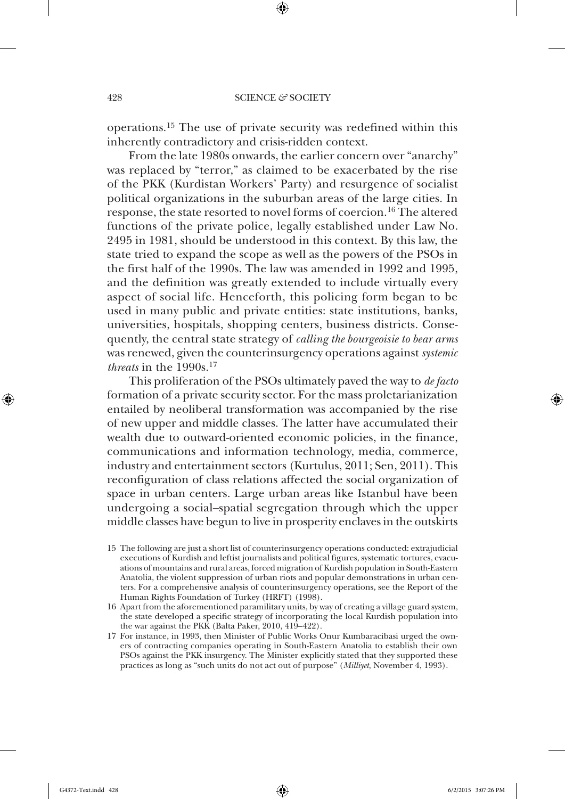operations.15 The use of private security was redefined within this inherently contradictory and crisis-ridden context.

From the late 1980s onwards, the earlier concern over "anarchy" was replaced by "terror," as claimed to be exacerbated by the rise of the PKK (Kurdistan Workers' Party) and resurgence of socialist political organizations in the suburban areas of the large cities. In response, the state resorted to novel forms of coercion.16 The altered functions of the private police, legally established under Law No. 2495 in 1981, should be understood in this context. By this law, the state tried to expand the scope as well as the powers of the PSOs in the first half of the 1990s. The law was amended in 1992 and 1995, and the definition was greatly extended to include virtually every aspect of social life. Henceforth, this policing form began to be used in many public and private entities: state institutions, banks, universities, hospitals, shopping centers, business districts. Consequently, the central state strategy of *calling the bourgeoisie to bear arms*  was renewed, given the counterinsurgency operations against *systemic threats* in the 1990s.17

This proliferation of the PSOs ultimately paved the way to *de facto*  formation of a private security sector. For the mass proletarianization entailed by neoliberal transformation was accompanied by the rise of new upper and middle classes. The latter have accumulated their wealth due to outward-oriented economic policies, in the finance, communications and information technology, media, commerce, industry and entertainment sectors (Kurtulus, 2011; Sen, 2011). This reconfiguration of class relations affected the social organization of space in urban centers. Large urban areas like Istanbul have been undergoing a social–spatial segregation through which the upper middle classes have begun to live in prosperity enclaves in the outskirts

- 15 The following are just a short list of counterinsurgency operations conducted: extrajudicial executions of Kurdish and leftist journalists and political figures, systematic tortures, evacuations of mountains and rural areas, forced migration of Kurdish population in South-Eastern Anatolia, the violent suppression of urban riots and popular demonstrations in urban centers. For a comprehensive analysis of counterinsurgency operations, see the Report of the Human Rights Foundation of Turkey (HRFT) (1998).
- 16 Apart from the aforementioned paramilitary units, by way of creating a village guard system, the state developed a specific strategy of incorporating the local Kurdish population into the war against the PKK (Balta Paker, 2010, 419–422).
- 17 For instance, in 1993, then Minister of Public Works Onur Kumbaracibasi urged the owners of contracting companies operating in South-Eastern Anatolia to establish their own PSOs against the PKK insurgency. The Minister explicitly stated that they supported these practices as long as "such units do not act out of purpose" (*Milliyet*, November 4, 1993).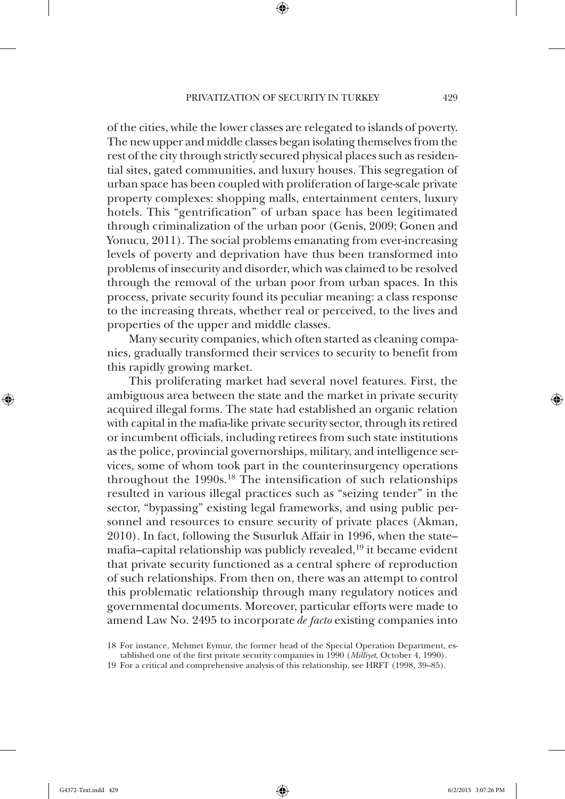of the cities, while the lower classes are relegated to islands of poverty. The new upper and middle classes began isolating themselves from the rest of the city through strictly secured physical places such as residential sites, gated communities, and luxury houses. This segregation of urban space has been coupled with proliferation of large-scale private property complexes: shopping malls, entertainment centers, luxury hotels. This "gentrification" of urban space has been legitimated through criminalization of the urban poor (Genis, 2009; Gonen and Yonucu, 2011). The social problems emanating from ever-increasing levels of poverty and deprivation have thus been transformed into problems of insecurity and disorder, which was claimed to be resolved through the removal of the urban poor from urban spaces. In this process, private security found its peculiar meaning: a class response to the increasing threats, whether real or perceived, to the lives and properties of the upper and middle classes.

Many security companies, which often started as cleaning companies, gradually transformed their services to security to benefit from this rapidly growing market.

This proliferating market had several novel features. First, the ambiguous area between the state and the market in private security acquired illegal forms. The state had established an organic relation with capital in the mafia-like private security sector, through its retired or incumbent officials, including retirees from such state institutions as the police, provincial governorships, military, and intelligence services, some of whom took part in the counterinsurgency operations throughout the 1990s.18 The intensification of such relationships resulted in various illegal practices such as "seizing tender" in the sector, "bypassing" existing legal frameworks, and using public personnel and resources to ensure security of private places (Akman, 2010). In fact, following the Susurluk Affair in 1996, when the state– mafia–capital relationship was publicly revealed,<sup>19</sup> it became evident that private security functioned as a central sphere of reproduction of such relationships. From then on, there was an attempt to control this problematic relationship through many regulatory notices and governmental documents. Moreover, particular efforts were made to amend Law No. 2495 to incorporate *de facto* existing companies into

<sup>18</sup> For instance, Mehmet Eymur, the former head of the Special Operation Department, established one of the first private security companies in 1990 (*Milliyet*, October 4, 1990).

<sup>19</sup> For a critical and comprehensive analysis of this relationship, see HRFT (1998, 39–85).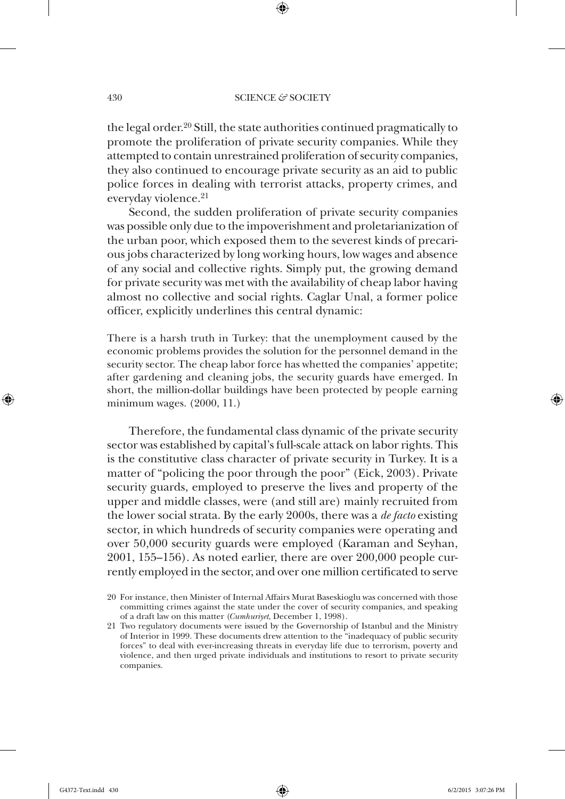the legal order.<sup>20</sup> Still, the state authorities continued pragmatically to promote the proliferation of private security companies. While they attempted to contain unrestrained proliferation of security companies, they also continued to encourage private security as an aid to public police forces in dealing with terrorist attacks, property crimes, and everyday violence.21

Second, the sudden proliferation of private security companies was possible only due to the impoverishment and proletarianization of the urban poor, which exposed them to the severest kinds of precarious jobs characterized by long working hours, low wages and absence of any social and collective rights. Simply put, the growing demand for private security was met with the availability of cheap labor having almost no collective and social rights. Caglar Unal, a former police officer, explicitly underlines this central dynamic:

There is a harsh truth in Turkey: that the unemployment caused by the economic problems provides the solution for the personnel demand in the security sector. The cheap labor force has whetted the companies' appetite; after gardening and cleaning jobs, the security guards have emerged. In short, the million-dollar buildings have been protected by people earning minimum wages. (2000, 11.)

Therefore, the fundamental class dynamic of the private security sector was established by capital's full-scale attack on labor rights. This is the constitutive class character of private security in Turkey. It is a matter of "policing the poor through the poor" (Eick, 2003). Private security guards, employed to preserve the lives and property of the upper and middle classes, were (and still are) mainly recruited from the lower social strata. By the early 2000s, there was a *de facto* existing sector, in which hundreds of security companies were operating and over 50,000 security guards were employed (Karaman and Seyhan, 2001, 155–156). As noted earlier, there are over 200,000 people currently employed in the sector, and over one million certificated to serve

<sup>20</sup> For instance, then Minister of Internal Affairs Murat Baseskioglu was concerned with those committing crimes against the state under the cover of security companies, and speaking of a draft law on this matter (*Cumhuriyet*, December 1, 1998).

<sup>21</sup> Two regulatory documents were issued by the Governorship of Istanbul and the Ministry of Interior in 1999. These documents drew attention to the "inadequacy of public security forces" to deal with ever-increasing threats in everyday life due to terrorism, poverty and violence, and then urged private individuals and institutions to resort to private security companies.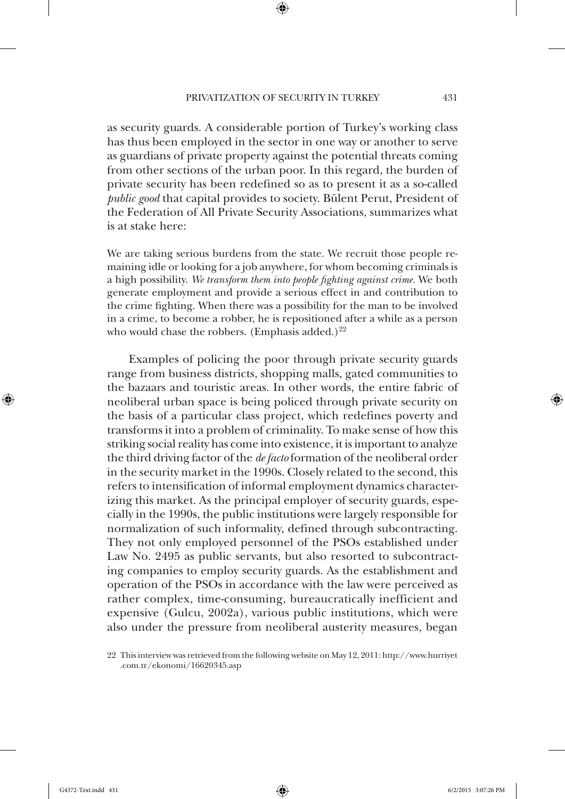as security guards. A considerable portion of Turkey's working class has thus been employed in the sector in one way or another to serve as guardians of private property against the potential threats coming from other sections of the urban poor. In this regard, the burden of private security has been redefined so as to present it as a so-called *public good* that capital provides to society. Bülent Perut, President of the Federation of All Private Security Associations, summarizes what is at stake here:

We are taking serious burdens from the state. We recruit those people remaining idle or looking for a job anywhere, for whom becoming criminals is a high possibility. *We transform them into people fighting against crime.* We both generate employment and provide a serious effect in and contribution to the crime fighting. When there was a possibility for the man to be involved in a crime, to become a robber, he is repositioned after a while as a person who would chase the robbers. (Emphasis added.) $22$ 

Examples of policing the poor through private security guards range from business districts, shopping malls, gated communities to the bazaars and touristic areas. In other words, the entire fabric of neoliberal urban space is being policed through private security on the basis of a particular class project, which redefines poverty and transforms it into a problem of criminality. To make sense of how this striking social reality has come into existence, it is important to analyze the third driving factor of the *de facto* formation of the neoliberal order in the security market in the 1990s. Closely related to the second, this refers to intensification of informal employment dynamics characterizing this market. As the principal employer of security guards, especially in the 1990s, the public institutions were largely responsible for normalization of such informality, defined through subcontracting. They not only employed personnel of the PSOs established under Law No. 2495 as public servants, but also resorted to subcontracting companies to employ security guards. As the establishment and operation of the PSOs in accordance with the law were perceived as rather complex, time-consuming, bureaucratically inefficient and expensive (Gulcu, 2002a), various public institutions, which were also under the pressure from neoliberal austerity measures, began

<sup>22</sup> This interview was retrieved from the following website on May 12, 2011: http://www.hurriyet .com.tr/ekonomi/16620345.asp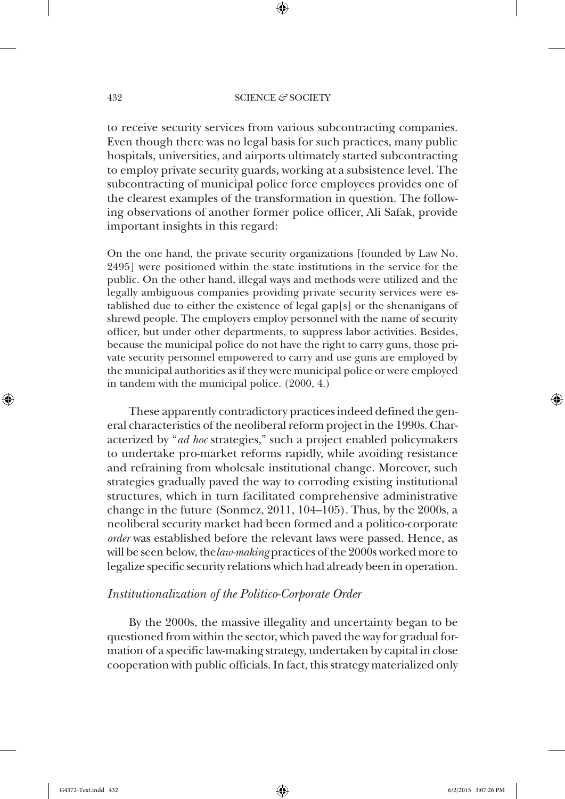to receive security services from various subcontracting companies. Even though there was no legal basis for such practices, many public hospitals, universities, and airports ultimately started subcontracting to employ private security guards, working at a subsistence level. The subcontracting of municipal police force employees provides one of the clearest examples of the transformation in question. The following observations of another former police officer, Ali Safak, provide important insights in this regard:

On the one hand, the private security organizations [founded by Law No. 2495] were positioned within the state institutions in the service for the public. On the other hand, illegal ways and methods were utilized and the legally ambiguous companies providing private security services were established due to either the existence of legal gap[s] or the shenanigans of shrewd people. The employers employ personnel with the name of security officer, but under other departments, to suppress labor activities. Besides, because the municipal police do not have the right to carry guns, those private security personnel empowered to carry and use guns are employed by the municipal authorities as if they were municipal police or were employed in tandem with the municipal police. (2000, 4.)

These apparently contradictory practices indeed defined the general characteristics of the neoliberal reform project in the 1990s. Characterized by "*ad hoc* strategies," such a project enabled policymakers to undertake pro-market reforms rapidly, while avoiding resistance and refraining from wholesale institutional change. Moreover, such strategies gradually paved the way to corroding existing institutional structures, which in turn facilitated comprehensive administrative change in the future (Sonmez, 2011, 104–105). Thus, by the 2000s, a neoliberal security market had been formed and a politico-corporate *order* was established before the relevant laws were passed. Hence, as will be seen below, the *law-making* practices of the 2000s worked more to legalize specific security relations which had already been in operation.

# *Institutionalization of the Politico-Corporate Order*

By the 2000s, the massive illegality and uncertainty began to be questioned from within the sector, which paved the way for gradual formation of a specific law-making strategy, undertaken by capital in close cooperation with public officials. In fact, this strategy materialized only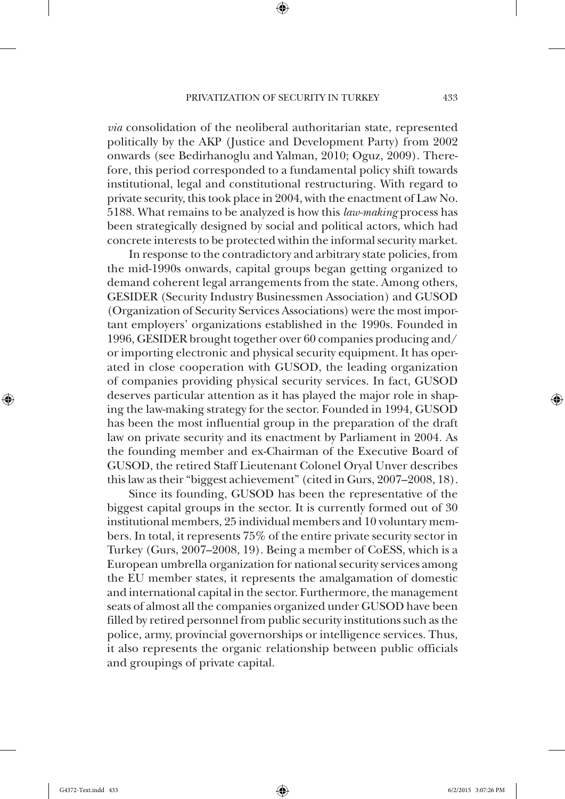*via* consolidation of the neoliberal authoritarian state, represented politically by the AKP (Justice and Development Party) from 2002 onwards (see Bedirhanoglu and Yalman, 2010; Oguz, 2009). Therefore, this period corresponded to a fundamental policy shift towards institutional, legal and constitutional restructuring. With regard to private security, this took place in 2004, with the enactment of Law No. 5188. What remains to be analyzed is how this *law-making* process has been strategically designed by social and political actors, which had concrete interests to be protected within the informal security market.

In response to the contradictory and arbitrary state policies, from the mid-1990s onwards, capital groups began getting organized to demand coherent legal arrangements from the state. Among others, GESIDER (Security Industry Businessmen Association) and GUSOD (Organization of Security Services Associations) were the most important employers' organizations established in the 1990s. Founded in 1996, GESIDER brought together over 60 companies producing and/ or importing electronic and physical security equipment. It has operated in close cooperation with GUSOD, the leading organization of companies providing physical security services. In fact, GUSOD deserves particular attention as it has played the major role in shaping the law-making strategy for the sector. Founded in 1994, GUSOD has been the most influential group in the preparation of the draft law on private security and its enactment by Parliament in 2004. As the founding member and ex-Chairman of the Executive Board of GUSOD, the retired Staff Lieutenant Colonel Oryal Unver describes this law as their "biggest achievement" (cited in Gurs, 2007–2008, 18).

Since its founding, GUSOD has been the representative of the biggest capital groups in the sector. It is currently formed out of 30 institutional members, 25 individual members and 10 voluntary members. In total, it represents 75% of the entire private security sector in Turkey (Gurs, 2007–2008, 19). Being a member of CoESS, which is a European umbrella organization for national security services among the EU member states, it represents the amalgamation of domestic and international capital in the sector. Furthermore, the management seats of almost all the companies organized under GUSOD have been filled by retired personnel from public security institutions such as the police, army, provincial governorships or intelligence services. Thus, it also represents the organic relationship between public officials and groupings of private capital.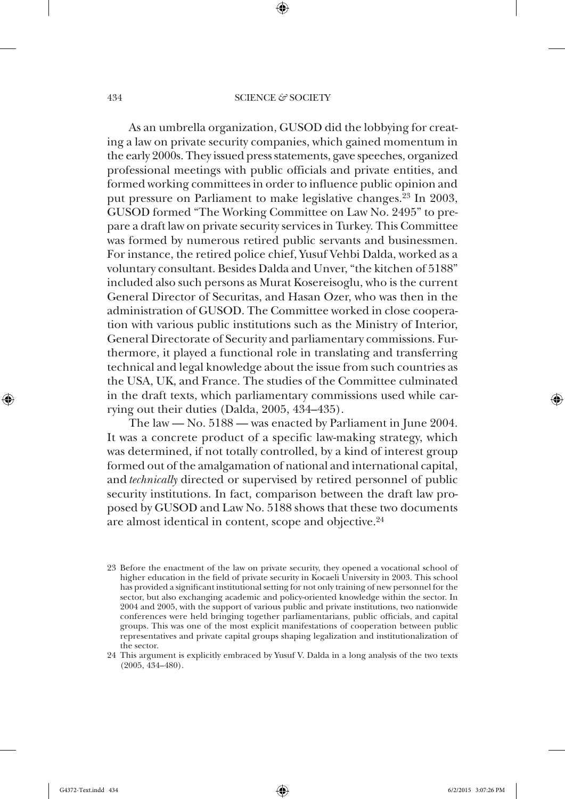As an umbrella organization, GUSOD did the lobbying for creating a law on private security companies, which gained momentum in the early 2000s. They issued press statements, gave speeches, organized professional meetings with public officials and private entities, and formed working committees in order to influence public opinion and put pressure on Parliament to make legislative changes.<sup>23</sup> In 2003, GUSOD formed "The Working Committee on Law No. 2495" to prepare a draft law on private security services in Turkey. This Committee was formed by numerous retired public servants and businessmen. For instance, the retired police chief, Yusuf Vehbi Dalda, worked as a voluntary consultant. Besides Dalda and Unver, "the kitchen of 5188" included also such persons as Murat Kosereisoglu, who is the current General Director of Securitas, and Hasan Ozer, who was then in the administration of GUSOD. The Committee worked in close cooperation with various public institutions such as the Ministry of Interior, General Directorate of Security and parliamentary commissions. Furthermore, it played a functional role in translating and transferring technical and legal knowledge about the issue from such countries as the USA, UK, and France. The studies of the Committee culminated in the draft texts, which parliamentary commissions used while carrying out their duties (Dalda, 2005, 434–435).

The law — No. 5188 — was enacted by Parliament in June 2004. It was a concrete product of a specific law-making strategy, which was determined, if not totally controlled, by a kind of interest group formed out of the amalgamation of national and international capital, and *technically* directed or supervised by retired personnel of public security institutions. In fact, comparison between the draft law proposed by GUSOD and Law No. 5188 shows that these two documents are almost identical in content, scope and objective.<sup>24</sup>

24 This argument is explicitly embraced by Yusuf V. Dalda in a long analysis of the two texts (2005, 434–480).

<sup>23</sup> Before the enactment of the law on private security, they opened a vocational school of higher education in the field of private security in Kocaeli University in 2003. This school has provided a significant institutional setting for not only training of new personnel for the sector, but also exchanging academic and policy-oriented knowledge within the sector. In 2004 and 2005, with the support of various public and private institutions, two nationwide conferences were held bringing together parliamentarians, public officials, and capital groups. This was one of the most explicit manifestations of cooperation between public representatives and private capital groups shaping legalization and institutionalization of the sector.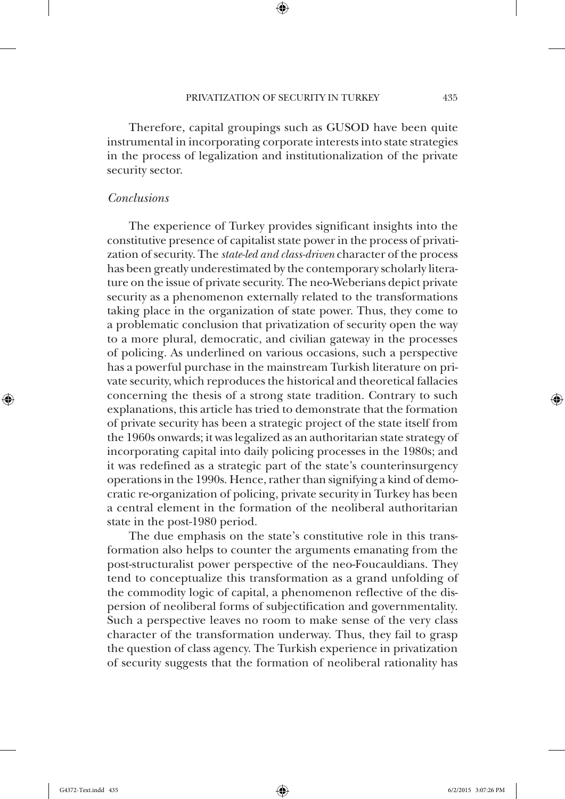Therefore, capital groupings such as GUSOD have been quite instrumental in incorporating corporate interests into state strategies in the process of legalization and institutionalization of the private security sector.

#### *Conclusions*

The experience of Turkey provides significant insights into the constitutive presence of capitalist state power in the process of privatization of security. The *state-led and class-driven* character of the process has been greatly underestimated by the contemporary scholarly literature on the issue of private security. The neo-Weberians depict private security as a phenomenon externally related to the transformations taking place in the organization of state power. Thus, they come to a problematic conclusion that privatization of security open the way to a more plural, democratic, and civilian gateway in the processes of policing. As underlined on various occasions, such a perspective has a powerful purchase in the mainstream Turkish literature on private security, which reproduces the historical and theoretical fallacies concerning the thesis of a strong state tradition. Contrary to such explanations, this article has tried to demonstrate that the formation of private security has been a strategic project of the state itself from the 1960s onwards; it was legalized as an authoritarian state strategy of incorporating capital into daily policing processes in the 1980s; and it was redefined as a strategic part of the state's counterinsurgency operations in the 1990s. Hence, rather than signifying a kind of democratic re-organization of policing, private security in Turkey has been a central element in the formation of the neoliberal authoritarian state in the post-1980 period.

The due emphasis on the state's constitutive role in this transformation also helps to counter the arguments emanating from the post-structuralist power perspective of the neo-Foucauldians. They tend to conceptualize this transformation as a grand unfolding of the commodity logic of capital, a phenomenon reflective of the dispersion of neoliberal forms of subjectification and governmentality. Such a perspective leaves no room to make sense of the very class character of the transformation underway. Thus, they fail to grasp the question of class agency. The Turkish experience in privatization of security suggests that the formation of neoliberal rationality has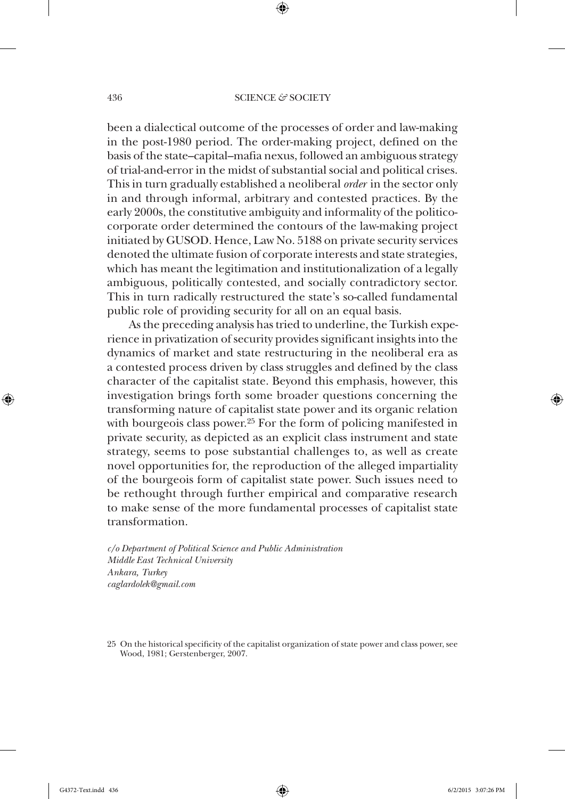been a dialectical outcome of the processes of order and law-making in the post-1980 period. The order-making project, defined on the basis of the state–capital–mafia nexus, followed an ambiguous strategy of trial-and-error in the midst of substantial social and political crises. This in turn gradually established a neoliberal *order* in the sector only in and through informal, arbitrary and contested practices. By the early 2000s, the constitutive ambiguity and informality of the politicocorporate order determined the contours of the law-making project initiated by GUSOD. Hence, Law No. 5188 on private security services denoted the ultimate fusion of corporate interests and state strategies, which has meant the legitimation and institutionalization of a legally ambiguous, politically contested, and socially contradictory sector. This in turn radically restructured the state's so-called fundamental public role of providing security for all on an equal basis.

As the preceding analysis has tried to underline, the Turkish experience in privatization of security provides significant insights into the dynamics of market and state restructuring in the neoliberal era as a contested process driven by class struggles and defined by the class character of the capitalist state. Beyond this emphasis, however, this investigation brings forth some broader questions concerning the transforming nature of capitalist state power and its organic relation with bourgeois class power.<sup>25</sup> For the form of policing manifested in private security, as depicted as an explicit class instrument and state strategy, seems to pose substantial challenges to, as well as create novel opportunities for, the reproduction of the alleged impartiality of the bourgeois form of capitalist state power. Such issues need to be rethought through further empirical and comparative research to make sense of the more fundamental processes of capitalist state transformation.

*c/o Department of Political Science and Public Administration Middle East Technical University Ankara, Turkey caglardolek@gmail.com*

25 On the historical specificity of the capitalist organization of state power and class power, see Wood, 1981; Gerstenberger, 2007.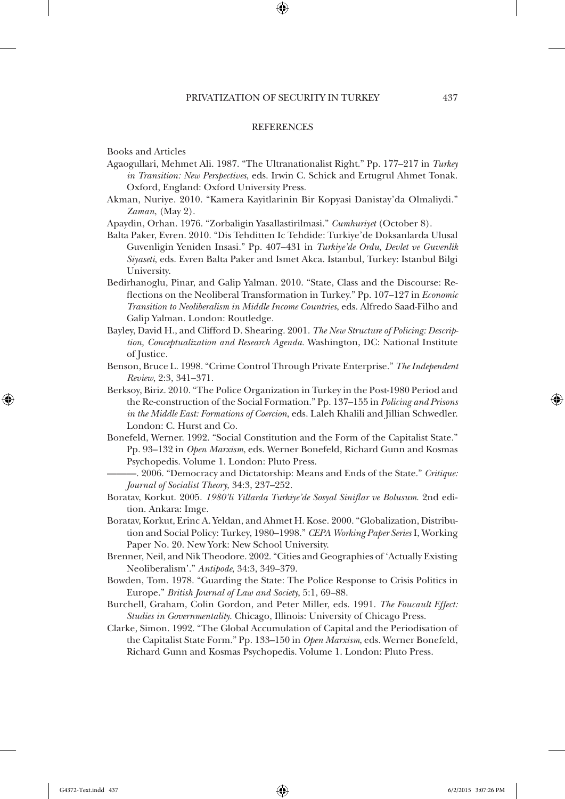#### **REFERENCES**

Books and Articles

- Agaogullari, Mehmet Ali. 1987. "The Ultranationalist Right." Pp. 177–217 in *Turkey in Transition: New Perspectives*, eds. Irwin C. Schick and Ertugrul Ahmet Tonak. Oxford, England: Oxford University Press.
- Akman, Nuriye. 2010. "Kamera Kayitlarinin Bir Kopyasi Danistay'da Olmaliydi." *Zaman*, (May 2).
- Apaydin, Orhan. 1976. "Zorbaligin Yasallastirilmasi." *Cumhuriyet* (October 8).
- Balta Paker, Evren. 2010. "Dis Tehditten Ic Tehdide: Turkiye'de Doksanlarda Ulusal Guvenligin Yeniden Insasi." Pp. 407–431 in *Turkiye'de Ordu, Devlet ve Guvenlik Siyaseti*, eds. Evren Balta Paker and Ismet Akca. Istanbul, Turkey: Istanbul Bilgi University.
- Bedirhanoglu, Pinar, and Galip Yalman. 2010. "State, Class and the Discourse: Reflections on the Neoliberal Transformation in Turkey." Pp. 107–127 in *Economic Transition to Neoliberalism in Middle Income Countries*, eds. Alfredo Saad-Filho and Galip Yalman. London: Routledge.
- Bayley, David H., and Clifford D. Shearing. 2001. *The New Structure of Policing: Description, Conceptualization and Research Agenda.* Washington, DC: National Institute of Justice.
- Benson, Bruce L. 1998. "Crime Control Through Private Enterprise." *The Independent Review*, 2:3, 341–371.
- Berksoy, Biriz. 2010. "The Police Organization in Turkey in the Post-1980 Period and the Re-construction of the Social Formation." Pp. 137–155 in *Policing and Prisons in the Middle East: Formations of Coercion*, eds. Laleh Khalili and Jillian Schwedler. London: C. Hurst and Co.
- Bonefeld, Werner. 1992. "Social Constitution and the Form of the Capitalist State." Pp. 93–132 in *Open Marxism*, eds. Werner Bonefeld, Richard Gunn and Kosmas Psychopedis. Volume 1. London: Pluto Press.
- ———. 2006. "Democracy and Dictatorship: Means and Ends of the State." *Critique: Journal of Socialist Theory*, 34:3, 237–252.
- Boratav, Korkut. 2005. *1980'li Yillarda Turkiye'de Sosyal Siniflar ve Bolusum*. 2nd edition. Ankara: Imge.
- Boratav, Korkut, Erinc A. Yeldan, and Ahmet H. Kose. 2000. "Globalization, Distribution and Social Policy: Turkey, 1980–1998." *CEPA Working Paper Series* I, Working Paper No. 20. New York: New School University.
- Brenner, Neil, and Nik Theodore. 2002. "Cities and Geographies of 'Actually Existing Neoliberalism'." *Antipode*, 34:3, 349–379.
- Bowden, Tom. 1978. "Guarding the State: The Police Response to Crisis Politics in Europe." *British Journal of Law and Society*, 5:1, 69–88.
- Burchell, Graham, Colin Gordon, and Peter Miller, eds. 1991. *The Foucault Effect: Studies in Governmentality*. Chicago, Illinois: University of Chicago Press.
- Clarke, Simon. 1992. "The Global Accumulation of Capital and the Periodisation of the Capitalist State Form." Pp. 133–150 in *Open Marxism*, eds. Werner Bonefeld, Richard Gunn and Kosmas Psychopedis. Volume 1. London: Pluto Press.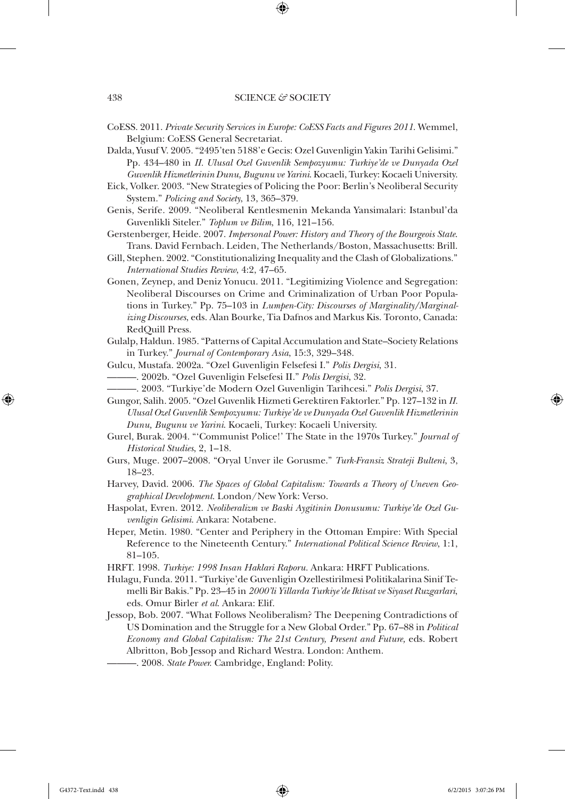- CoESS. 2011. *Private Security Services in Europe: CoESS Facts and Figures 2011*. Wemmel, Belgium: CoESS General Secretariat.
- Dalda, Yusuf V. 2005. "2495'ten 5188'e Gecis: Ozel Guvenligin Yakin Tarihi Gelisimi." Pp. 434–480 in *II. Ulusal Ozel Guvenlik Sempozyumu: Turkiye'de ve Dunyada Ozel Guvenlik Hizmetlerinin Dunu, Bugunu ve Yarini*. Kocaeli, Turkey: Kocaeli University.
- Eick, Volker. 2003. "New Strategies of Policing the Poor: Berlin's Neoliberal Security System." *Policing and Society*, 13, 365–379.
- Genis, Serife. 2009. "Neoliberal Kentlesmenin Mekanda Yansimalari: Istanbul'da Guvenlikli Siteler." *Toplum ve Bilim*, 116, 121–156.
- Gerstenberger, Heide. 2007. *Impersonal Power: History and Theory of the Bourgeois State*. Trans. David Fernbach. Leiden, The Netherlands/Boston, Massachusetts: Brill.
- Gill, Stephen. 2002. "Constitutionalizing Inequality and the Clash of Globalizations." *International Studies Review*, 4:2, 47–65.
- Gonen, Zeynep, and Deniz Yonucu. 2011. "Legitimizing Violence and Segregation: Neoliberal Discourses on Crime and Criminalization of Urban Poor Populations in Turkey." Pp. 75–103 in *Lumpen-City: Discourses of Marginality/Marginalizing Discourses*, eds. Alan Bourke, Tia Dafnos and Markus Kis. Toronto, Canada: RedQuill Press.
- Gulalp, Haldun. 1985. "Patterns of Capital Accumulation and State–Society Relations in Turkey." *Journal of Contemporary Asia*, 15:3, 329–348.
- Gulcu, Mustafa. 2002a. "Ozel Guvenligin Felsefesi I." *Polis Dergisi*, 31.
- ———. 2002b. "Ozel Guvenligin Felsefesi II." *Polis Dergisi*, 32.
- ———. 2003. "Turkiye'de Modern Ozel Guvenligin Tarihcesi." *Polis Dergisi*, 37.
- Gungor, Salih. 2005. "Ozel Guvenlik Hizmeti Gerektiren Faktorler." Pp. 127–132 in *II. Ulusal Ozel Guvenlik Sempozyumu: Turkiye'de ve Dunyada Ozel Guvenlik Hizmetlerinin Dunu, Bugunu ve Yarini*. Kocaeli, Turkey: Kocaeli University.
- Gurel, Burak. 2004. "'Communist Police!' The State in the 1970s Turkey." *Journal of Historical Studies*, 2, 1–18.
- Gurs, Muge. 2007–2008. "Oryal Unver ile Gorusme." *Turk-Fransiz Strateji Bulteni*, 3, 18–23.
- Harvey, David. 2006. *The Spaces of Global Capitalism: Towards a Theory of Uneven Geographical Development*. London/New York: Verso.
- Haspolat, Evren. 2012. *Neoliberalizm ve Baski Aygitinin Donusumu: Turkiye'de Ozel Guvenligin Gelisimi*. Ankara: Notabene.
- Heper, Metin. 1980. "Center and Periphery in the Ottoman Empire: With Special Reference to the Nineteenth Century." *International Political Science Review*, 1:1, 81–105.
- HRFT. 1998. *Turkiye: 1998 Insan Haklari Raporu.* Ankara: HRFT Publications.
- Hulagu, Funda. 2011. "Turkiye'de Guvenligin Ozellestirilmesi Politikalarina Sinif Temelli Bir Bakis." Pp. 23–45 in *2000'li Yillarda Turkiye'de Iktisat ve Siyaset Ruzgarlari*, eds. Omur Birler *et al*. Ankara: Elif.
- Jessop, Bob. 2007. "What Follows Neoliberalism? The Deepening Contradictions of US Domination and the Struggle for a New Global Order." Pp. 67–88 in *Political Economy and Global Capitalism: The 21st Century, Present and Future,* eds. Robert Albritton, Bob Jessop and Richard Westra. London: Anthem.
	- ———. 2008. *State Power.* Cambridge, England: Polity.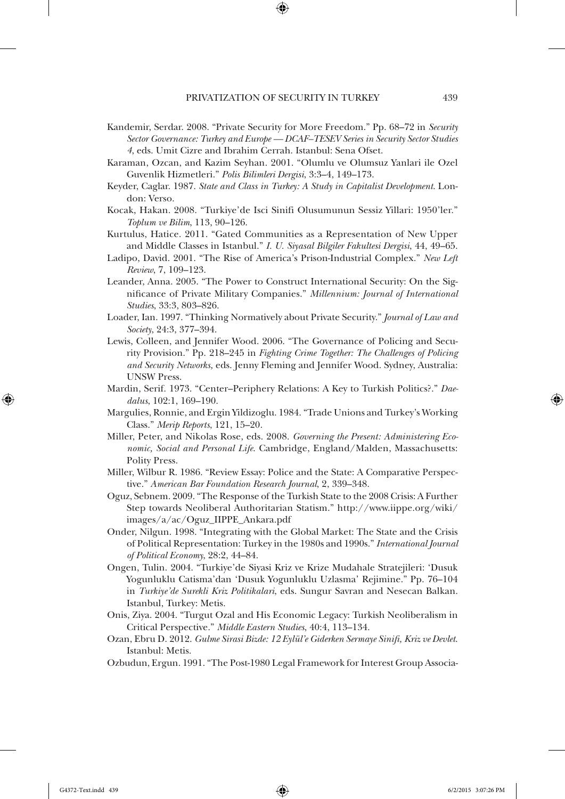- Kandemir, Serdar. 2008. "Private Security for More Freedom." Pp. 68–72 in *Security Sector Governance: Turkey and Europe — DCAF–TESEV Series in Security Sector Studies 4*, eds. Umit Cizre and Ibrahim Cerrah. Istanbul: Sena Ofset.
- Karaman, Ozcan, and Kazim Seyhan. 2001. "Olumlu ve Olumsuz Yanlari ile Ozel Guvenlik Hizmetleri." *Polis Bilimleri Dergisi*, 3:3–4, 149–173.
- Keyder, Caglar. 1987. *State and Class in Turkey: A Study in Capitalist Development*. London: Verso.
- Kocak, Hakan. 2008. "Turkiye'de Isci Sinifi Olusumunun Sessiz Yillari: 1950'ler." *Toplum ve Bilim*, 113, 90–126.
- Kurtulus, Hatice. 2011. "Gated Communities as a Representation of New Upper and Middle Classes in Istanbul." *I. U. Siyasal Bilgiler Fakultesi Dergisi*, 44, 49–65.
- Ladipo, David. 2001. "The Rise of America's Prison-Industrial Complex." *New Left Review*, 7, 109–123.
- Leander, Anna. 2005. "The Power to Construct International Security: On the Significance of Private Military Companies." *Millennium: Journal of International Studies*, 33:3, 803–826.
- Loader, Ian. 1997. "Thinking Normatively about Private Security." *Journal of Law and Society*, 24:3, 377–394.
- Lewis, Colleen, and Jennifer Wood. 2006. "The Governance of Policing and Security Provision." Pp. 218–245 in *Fighting Crime Together: The Challenges of Policing and Security Networks,* eds. Jenny Fleming and Jennifer Wood. Sydney, Australia: UNSW Press.
- Mardin, Serif. 1973. "Center–Periphery Relations: A Key to Turkish Politics?." *Daedalus*, 102:1, 169–190.
- Margulies, Ronnie, and Ergin Yildizoglu. 1984. "Trade Unions and Turkey's Working Class." *Merip Reports*, 121, 15–20.
- Miller, Peter, and Nikolas Rose, eds. 2008. *Governing the Present: Administering Economic, Social and Personal Life*. Cambridge, England/Malden, Massachusetts: Polity Press.
- Miller, Wilbur R. 1986. "Review Essay: Police and the State: A Comparative Perspective." *American Bar Foundation Research Journal*, 2, 339–348.
- Oguz, Sebnem. 2009. "The Response of the Turkish State to the 2008 Crisis: A Further Step towards Neoliberal Authoritarian Statism." http://www.iippe.org/wiki/ images/a/ac/Oguz\_IIPPE\_Ankara.pdf
- Onder, Nilgun. 1998. "Integrating with the Global Market: The State and the Crisis of Political Representation: Turkey in the 1980s and 1990s." *International Journal of Political Economy*, 28:2, 44–84.
- Ongen, Tulin. 2004. "Turkiye'de Siyasi Kriz ve Krize Mudahale Stratejileri: 'Dusuk Yogunluklu Catisma'dan 'Dusuk Yogunluklu Uzlasma' Rejimine." Pp. 76–104 in *Turkiye'de Surekli Kriz Politikalari*, eds. Sungur Savran and Nesecan Balkan. Istanbul, Turkey: Metis.
- Onis, Ziya. 2004. "Turgut Ozal and His Economic Legacy: Turkish Neoliberalism in Critical Perspective." *Middle Eastern Studies*, 40:4, 113–134.
- Ozan, Ebru D. 2012. *Gulme Sirasi Bizde: 12 Eylül'e Giderken Sermaye Sinifi, Kriz ve Devlet*. Istanbul: Metis.
- Ozbudun, Ergun. 1991. "The Post-1980 Legal Framework for Interest Group Associa-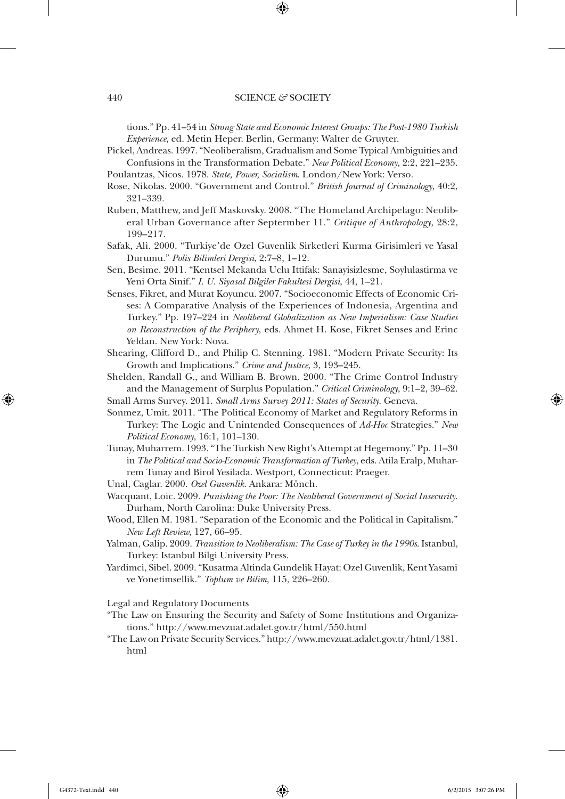tions." Pp. 41–54 in *Strong State and Economic Interest Groups: The Post-1980 Turkish Experience*, ed. Metin Heper. Berlin, Germany: Walter de Gruyter.

Pickel, Andreas. 1997. "Neoliberalism, Gradualism and Some Typical Ambiguities and Confusions in the Transformation Debate." *New Political Economy*, 2:2, 221–235.

Poulantzas, Nicos. 1978. *State, Power, Socialism*. London/New York: Verso.

- Rose, Nikolas. 2000. "Government and Control." *British Journal of Criminology*, 40:2, 321–339.
- Ruben, Matthew, and Jeff Maskovsky. 2008. "The Homeland Archipelago: Neoliberal Urban Governance after Septermber 11." *Critique of Anthropology*, 28:2, 199–217.
- Safak, Ali. 2000. "Turkiye'de Ozel Guvenlik Sirketleri Kurma Girisimleri ve Yasal Durumu." *Polis Bilimleri Dergisi*, 2:7–8, 1–12.
- Sen, Besime. 2011. "Kentsel Mekanda Uclu Ittifak: Sanayisizlesme, Soylulastirma ve Yeni Orta Sinif." *I. U. Siyasal Bilgiler Fakultesi Dergisi*, 44, 1–21.
- Senses, Fikret, and Murat Koyuncu. 2007. "Socioeconomic Effects of Economic Crises: A Comparative Analysis of the Experiences of Indonesia, Argentina and Turkey." Pp. 197–224 in *Neoliberal Globalization as New Imperialism: Case Studies on Reconstruction of the Periphery*, eds. Ahmet H. Kose, Fikret Senses and Erinc Yeldan. New York: Nova.
- Shearing, Clifford D., and Philip C. Stenning. 1981. "Modern Private Security: Its Growth and Implications." *Crime and Justice*, 3, 193–245.
- Shelden, Randall G., and William B. Brown. 2000. "The Crime Control Industry and the Management of Surplus Population." *Critical Criminology*, 9:1–2, 39–62.
- Small Arms Survey. 2011. *Small Arms Survey 2011: States of Security*. Geneva.
- Sonmez, Umit. 2011. "The Political Economy of Market and Regulatory Reforms in Turkey: The Logic and Unintended Consequences of *Ad-Hoc* Strategies." *New Political Economy*, 16:1, 101–130.
- Tunay, Muharrem. 1993. "The Turkish New Right's Attempt at Hegemony." Pp. 11–30 in *The Political and Socio-Economic Transformation of Turkey*, eds. Atila Eralp, Muharrem Tunay and Birol Yesilada. Westport, Connecticut: Praeger.
- Unal, Caglar. 2000. *Ozel Guvenlik*. Ankara: Mönch.
- Wacquant, Loic. 2009. *Punishing the Poor: The Neoliberal Government of Social Insecurity*. Durham, North Carolina: Duke University Press.
- Wood, Ellen M. 1981. "Separation of the Economic and the Political in Capitalism." *New Left Review*, 127, 66–95.
- Yalman, Galip. 2009. *Transition to Neoliberalism: The Case of Turkey in the 1990s*. Istanbul, Turkey: Istanbul Bilgi University Press.
- Yardimci, Sibel. 2009. "Kusatma Altinda Gundelik Hayat: Ozel Guvenlik, Kent Yasami ve Yonetimsellik." *Toplum ve Bilim*, 115, 226–260.

Legal and Regulatory Documents

- "The Law on Ensuring the Security and Safety of Some Institutions and Organizations." http://www.mevzuat.adalet.gov.tr/html/550.html
- "The Law on Private Security Services." http://www.mevzuat.adalet.gov.tr/html/1381. html